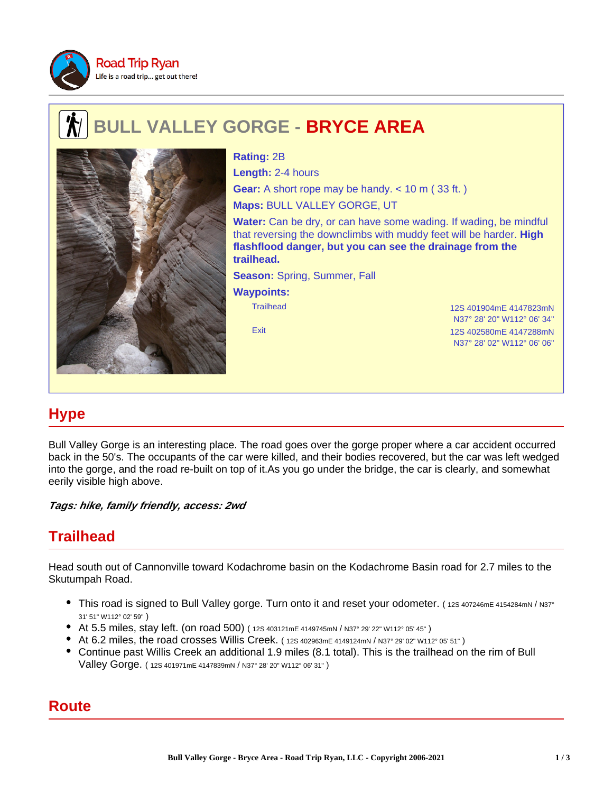

# **BULL VALLEY GORGE - BRYCE AREA**



**Rating:** 2B **Length:** 2-4 hours **Gear:** A short rope may be handy. < 10 m (33 ft.) **Maps:** BULL VALLEY GORGE, UT

**Water:** Can be dry, or can have some wading. If wading, be mindful that reversing the downclimbs with muddy feet will be harder. **High flashflood danger, but you can see the drainage from the trailhead.**

**Season:** Spring, Summer, Fall

#### **Waypoints:**

Trailhead 12S 401904mE 4147823mN N37° 28' 20" W112° 06' 34" Exit 12S 402580mE 4147288mN N37° 28' 02" W112° 06' 06"

# **Hype**

Bull Valley Gorge is an interesting place. The road goes over the gorge proper where a car accident occurred back in the 50's. The occupants of the car were killed, and their bodies recovered, but the car was left wedged into the gorge, and the road re-built on top of it.As you go under the bridge, the car is clearly, and somewhat eerily visible high above.

**Tags: hike, family friendly, access: 2wd**

## **Trailhead**

Head south out of Cannonville toward Kodachrome basin on the Kodachrome Basin road for 2.7 miles to the Skutumpah Road.

- This road is signed to Bull Valley gorge. Turn onto it and reset your odometer. (12S 407246mE 4154284mN / N37° 31' 51" W112° 02' 59" )
- At 5.5 miles, stay left. (on road 500) ( 12S 403121mE 4149745mN / N37° 29' 22" W112° 05' 45" )
- At 6.2 miles, the road crosses Willis Creek. ( 12S 402963mE 4149124mN / N37° 29' 02" W112° 05' 51" )
- Continue past Willis Creek an additional 1.9 miles (8.1 total). This is the trailhead on the rim of Bull Valley Gorge. ( 12S 401971mE 4147839mN / N37° 28' 20" W112° 06' 31" )

## **Route**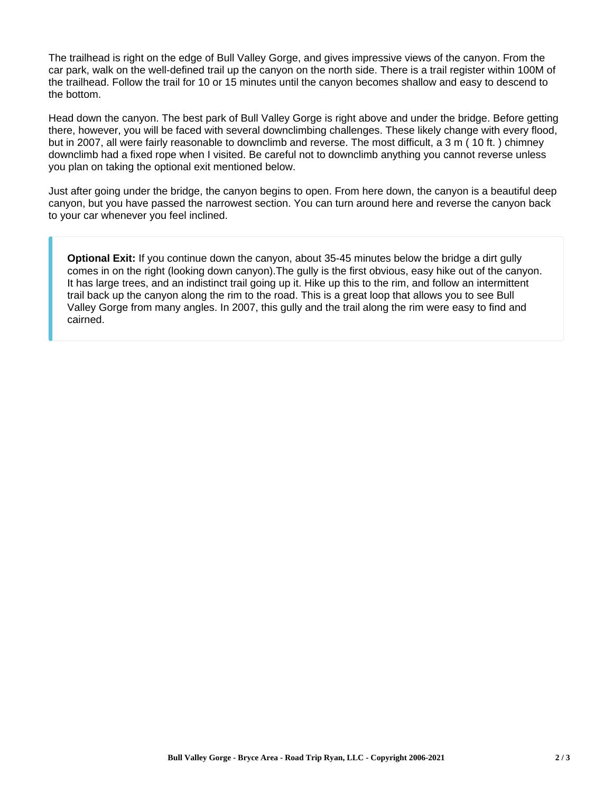The trailhead is right on the edge of Bull Valley Gorge, and gives impressive views of the canyon. From the car park, walk on the well-defined trail up the canyon on the north side. There is a trail register within 100M of the trailhead. Follow the trail for 10 or 15 minutes until the canyon becomes shallow and easy to descend to the bottom.

Head down the canyon. The best park of Bull Valley Gorge is right above and under the bridge. Before getting there, however, you will be faced with several downclimbing challenges. These likely change with every flood, but in 2007, all were fairly reasonable to downclimb and reverse. The most difficult, a 3 m ( 10 ft. ) chimney downclimb had a fixed rope when I visited. Be careful not to downclimb anything you cannot reverse unless you plan on taking the optional exit mentioned below.

Just after going under the bridge, the canyon begins to open. From here down, the canyon is a beautiful deep canyon, but you have passed the narrowest section. You can turn around here and reverse the canyon back to your car whenever you feel inclined.

**Optional Exit:** If you continue down the canyon, about 35-45 minutes below the bridge a dirt gully comes in on the right (looking down canyon).The gully is the first obvious, easy hike out of the canyon. It has large trees, and an indistinct trail going up it. Hike up this to the rim, and follow an intermittent trail back up the canyon along the rim to the road. This is a great loop that allows you to see Bull Valley Gorge from many angles. In 2007, this gully and the trail along the rim were easy to find and cairned.